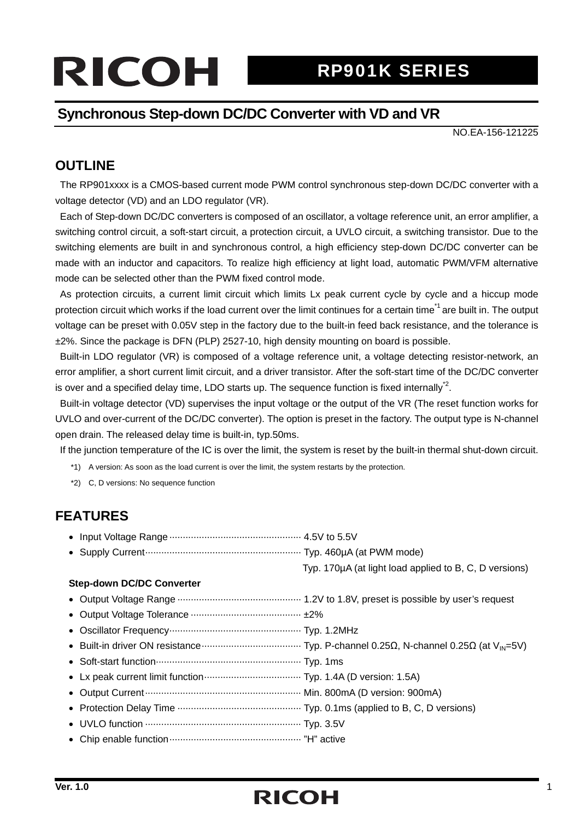# RCOH RP901K SERIES

#### **Synchronous Step-down DC/DC Converter with VD and VR**

NO.EA-156-121225

#### **OUTLINE**

The RP901xxxx is a CMOS-based current mode PWM control synchronous step-down DC/DC converter with a voltage detector (VD) and an LDO regulator (VR).

Each of Step-down DC/DC converters is composed of an oscillator, a voltage reference unit, an error amplifier, a switching control circuit, a soft-start circuit, a protection circuit, a UVLO circuit, a switching transistor. Due to the switching elements are built in and synchronous control, a high efficiency step-down DC/DC converter can be made with an inductor and capacitors. To realize high efficiency at light load, automatic PWM/VFM alternative mode can be selected other than the PWM fixed control mode.

As protection circuits, a current limit circuit which limits Lx peak current cycle by cycle and a hiccup mode protection circuit which works if the load current over the limit continues for a certain time<sup>1</sup> are built in. The output voltage can be preset with 0.05V step in the factory due to the built-in feed back resistance, and the tolerance is ±2%. Since the package is DFN (PLP) 2527-10, high density mounting on board is possible.

Built-in LDO regulator (VR) is composed of a voltage reference unit, a voltage detecting resistor-network, an error amplifier, a short current limit circuit, and a driver transistor. After the soft-start time of the DC/DC converter is over and a specified delay time, LDO starts up. The sequence function is fixed internally<sup>2</sup>.

Built-in voltage detector (VD) supervises the input voltage or the output of the VR (The reset function works for UVLO and over-current of the DC/DC converter). The option is preset in the factory. The output type is N-channel open drain. The released delay time is built-in, typ.50ms.

If the junction temperature of the IC is over the limit, the system is reset by the built-in thermal shut-down circuit.

\*1) A version: As soon as the load current is over the limit, the system restarts by the protection.

\*2) C, D versions: No sequence function

#### **FEATURES**

- Input Voltage Range ················································· 4.5V to 5.5V
- Supply Current……………………………………………………… Typ. 460uA (at PWM mode)

Typ. 170µA (at light load applied to B, C, D versions)

#### **Step-down DC/DC Converter**

- Output Voltage Range ·············································· 1.2V to 1.8V, preset is possible by user's request
- Output Voltage Tolerance ········································· ±2%
- Oscillator Frequency················································· Typ. 1.2MHz
- Built-in driver ON resistance····································· Typ. P-channel 0.25Ω, N-channel 0.25Ω (at VIN=5V)
- Soft-start function······················································ Typ. 1ms
- Lx peak current limit function···································· Typ. 1.4A (D version: 1.5A)
- Output Current·························································· Min. 800mA (D version: 900mA)
- Protection Delay Time ·············································· Typ. 0.1ms (applied to B, C, D versions)
- UVLO function ·························································· Typ. 3.5V
- Chip enable function················································· "H" active

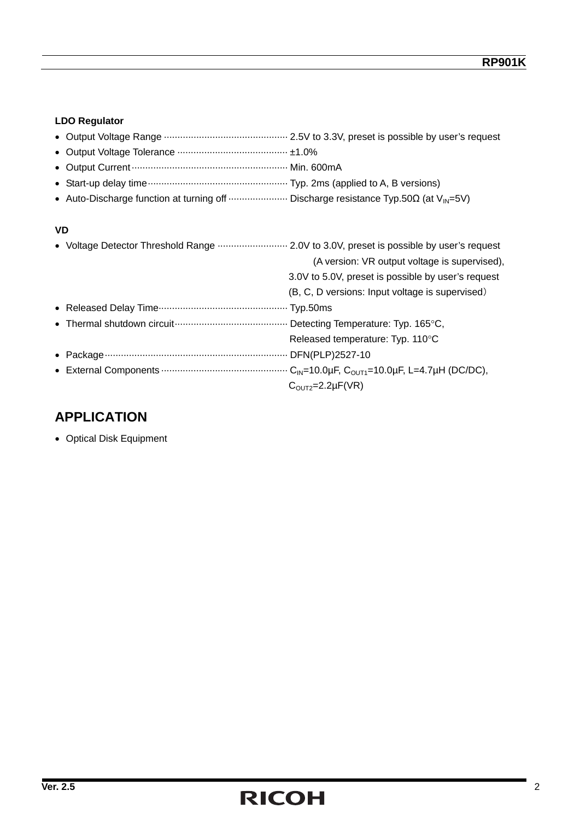#### **LDO Regulator**

- Output Voltage Tolerance ········································· ±1.0%
- Output Current·························································· Min. 600mA
- Start-up delay time···················································· Typ. 2ms (applied to A, B versions)
- Auto-Discharge function at turning off ······················ Discharge resistance Typ.50Ω (at VIN=5V)

#### **VD**

| • Voltage Detector Threshold Range  2.0V to 3.0V, preset is possible by user's request |
|----------------------------------------------------------------------------------------|
| (A version: VR output voltage is supervised),                                          |
| 3.0V to 5.0V, preset is possible by user's request                                     |
| (B, C, D versions: Input voltage is supervised)                                        |
|                                                                                        |
|                                                                                        |
| Released temperature: Typ. 110°C                                                       |
|                                                                                        |
|                                                                                        |
| $COUT2=2.2\mu F(VR)$                                                                   |

#### **APPLICATION**

• Optical Disk Equipment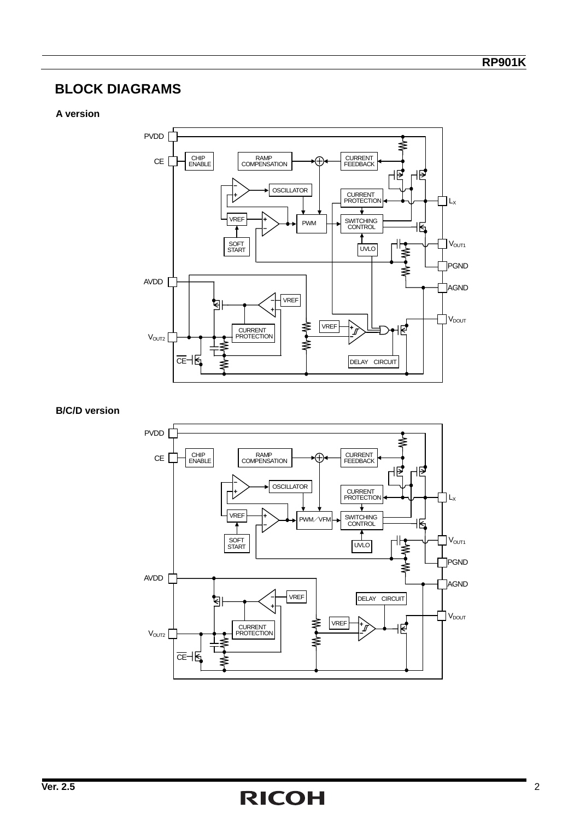#### **BLOCK DIAGRAMS**

#### **A version**



**B/C/D version** 

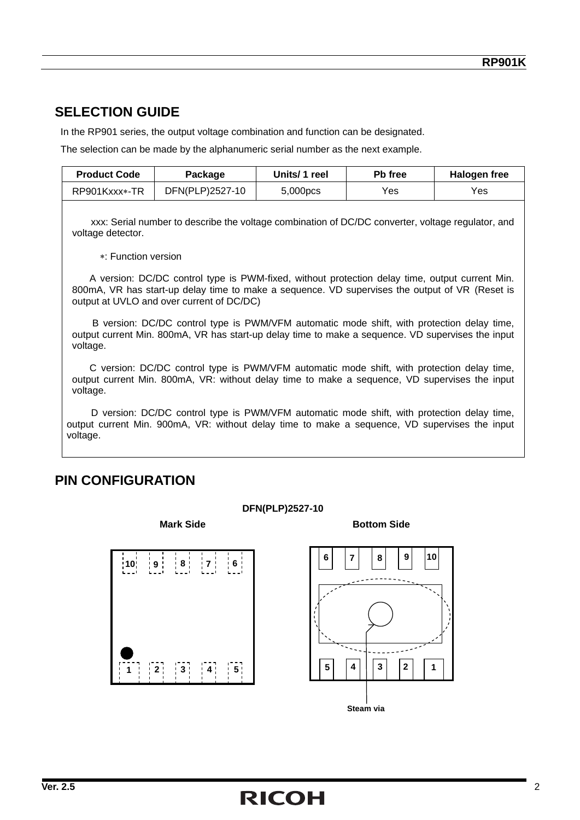#### **SELECTION GUIDE**

In the RP901 series, the output voltage combination and function can be designated.

The selection can be made by the alphanumeric serial number as the next example.

| <b>Product Code</b> | Package         | Units/ 1 reel | <b>Pb</b> free | Halogen free |
|---------------------|-----------------|---------------|----------------|--------------|
| RP901Kxxx*-TR       | DFN(PLP)2527-10 | 5,000pcs      | Yes            | Yes          |
|                     |                 |               |                |              |

xxx: Serial number to describe the voltage combination of DC/DC converter, voltage regulator, and voltage detector.

∗: Function version

A version: DC/DC control type is PWM-fixed, without protection delay time, output current Min. 800mA, VR has start-up delay time to make a sequence. VD supervises the output of VR (Reset is output at UVLO and over current of DC/DC)

B version: DC/DC control type is PWM/VFM automatic mode shift, with protection delay time, output current Min. 800mA, VR has start-up delay time to make a sequence. VD supervises the input voltage.

C version: DC/DC control type is PWM/VFM automatic mode shift, with protection delay time, output current Min. 800mA, VR: without delay time to make a sequence, VD supervises the input voltage.

D version: DC/DC control type is PWM/VFM automatic mode shift, with protection delay time, output current Min. 900mA, VR: without delay time to make a sequence, VD supervises the input voltage.

#### **PIN CONFIGURATION**

#### **DFN(PLP)2527-10**

**Mark Side Bottom Side Bottom Side** 

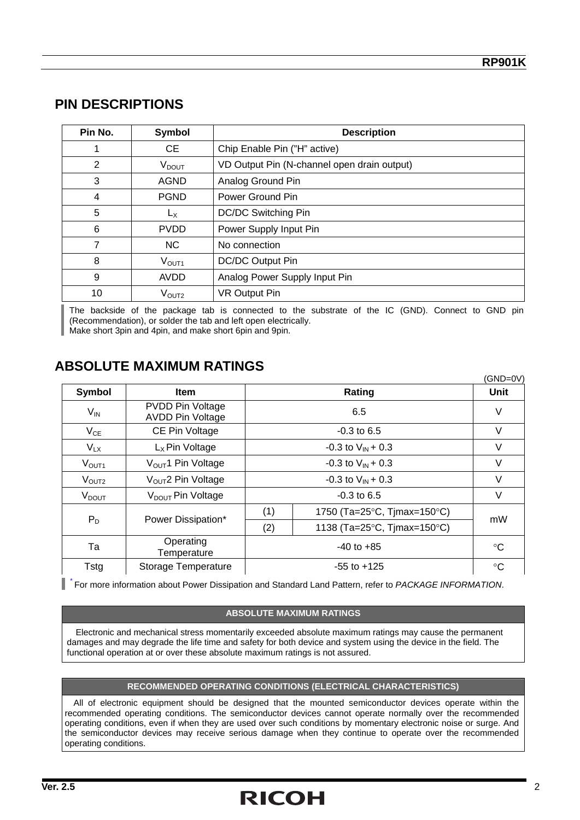#### **PIN DESCRIPTIONS**

| Pin No. | Symbol            | <b>Description</b>                          |
|---------|-------------------|---------------------------------------------|
|         | CE                | Chip Enable Pin ("H" active)                |
| 2       | V <sub>DOUT</sub> | VD Output Pin (N-channel open drain output) |
| 3       | <b>AGND</b>       | Analog Ground Pin                           |
| 4       | <b>PGND</b>       | Power Ground Pin                            |
| 5       | Lх                | DC/DC Switching Pin                         |
| 6       | <b>PVDD</b>       | Power Supply Input Pin                      |
|         | NC.               | No connection                               |
| 8       | $V_{\text{OUT1}}$ | DC/DC Output Pin                            |
| 9       | <b>AVDD</b>       | Analog Power Supply Input Pin               |
| 10      | $\rm V_{OUT2}$    | <b>VR Output Pin</b>                        |

The backside of the package tab is connected to the substrate of the IC (GND). Connect to GND pin (Recommendation), or solder the tab and left open electrically. Make short 3pin and 4pin, and make short 6pin and 9pin.

#### **ABSOLUTE MAXIMUM RATINGS**

|                          |                                                    |                               |                             | (GND=0V)        |  |
|--------------------------|----------------------------------------------------|-------------------------------|-----------------------------|-----------------|--|
| Symbol                   | <b>Item</b>                                        |                               | Rating                      | <b>Unit</b>     |  |
| $V_{IN}$                 | <b>PVDD Pin Voltage</b><br><b>AVDD Pin Voltage</b> |                               | 6.5                         | V               |  |
| $V_{CE}$                 | CE Pin Voltage                                     |                               | $-0.3$ to 6.5               |                 |  |
| $V_{LX}$                 | $Lx$ Pin Voltage                                   | -0.3 to $V_{\text{IN}}$ + 0.3 |                             | $\vee$          |  |
| V <sub>OUT1</sub>        | $VOUT1$ Pin Voltage                                | $-0.3$ to $V_{IN} + 0.3$      |                             | V               |  |
| $V_{\text{OUT2}}$        | $VOUT2 P$ in Voltage                               | -0.3 to $V_{\text{IN}}$ + 0.3 |                             | V               |  |
| <b>V</b> <sub>DOUT</sub> | V <sub>DOUT</sub> Pin Voltage                      |                               | $-0.3$ to 6.5               | V               |  |
|                          | Power Dissipation*                                 | (1)                           | 1750 (Ta=25°C, Tjmax=150°C) | mW              |  |
| $P_D$                    |                                                    | (2)                           | 1138 (Ta=25°C, Tjmax=150°C) |                 |  |
| Та                       | Operating<br>Temperature                           |                               | $-40$ to $+85$              |                 |  |
| <b>Tstg</b>              | Storage Temperature                                |                               | $-55$ to $+125$             | $\rm ^{\circ}C$ |  |

\* For more information about Power Dissipation and Standard Land Pattern, refer to *PACKAGE INFORMATION*.

#### **ABSOLUTE MAXIMUM RATINGS**

Electronic and mechanical stress momentarily exceeded absolute maximum ratings may cause the permanent damages and may degrade the life time and safety for both device and system using the device in the field. The functional operation at or over these absolute maximum ratings is not assured.

#### **RECOMMENDED OPERATING CONDITIONS (ELECTRICAL CHARACTERISTICS)**

All of electronic equipment should be designed that the mounted semiconductor devices operate within the recommended operating conditions. The semiconductor devices cannot operate normally over the recommended operating conditions, even if when they are used over such conditions by momentary electronic noise or surge. And the semiconductor devices may receive serious damage when they continue to operate over the recommended operating conditions.

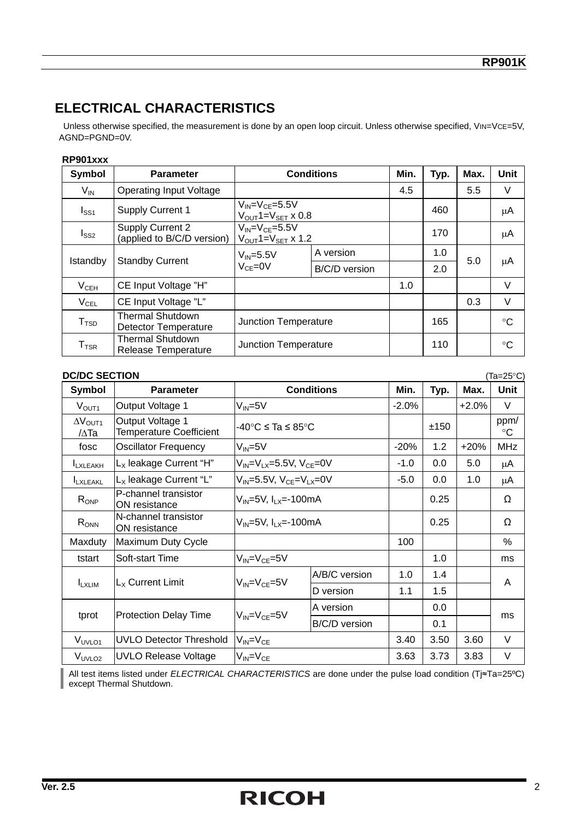#### **ELECTRICAL CHARACTERISTICS**

Unless otherwise specified, the measurement is done by an open loop circuit. Unless otherwise specified, VIN=VCE=5V, AGND=PGND=0V.

#### **RP901xxx**

| Symbol                      | <b>Parameter</b>                                       |                                                                           | <b>Conditions</b> | Min. | Typ. | Max. | Unit        |
|-----------------------------|--------------------------------------------------------|---------------------------------------------------------------------------|-------------------|------|------|------|-------------|
| $V_{\mathsf{IN}}$           | <b>Operating Input Voltage</b>                         |                                                                           |                   | 4.5  |      | 5.5  | V           |
| I <sub>SS1</sub>            | <b>Supply Current 1</b>                                | $V_{IN} = V_{CE} = 5.5V$<br>$V_{\text{OUT}}1 = V_{\text{SET}} \times 0.8$ |                   |      | 460  |      | μA          |
| $I_{SS2}$                   | <b>Supply Current 2</b><br>(applied to B/C/D version)  | $V_{IN} = V_{CF} = 5.5V$<br>$V_{\text{OUT}}$ 1= $V_{\text{SET}}$ x 1.2    |                   |      | 170  |      | μA          |
| Istandby                    | <b>Standby Current</b>                                 | $V_{IN} = 5.5V$                                                           | A version         |      | 1.0  | 5.0  |             |
|                             |                                                        | $V_{CF} = 0V$                                                             | B/C/D version     |      | 2.0  |      | μA          |
| $V_{CEH}$                   | CE Input Voltage "H"                                   |                                                                           |                   | 1.0  |      |      | V           |
| $V_{\text{CEL}}$            | CE Input Voltage "L"                                   |                                                                           |                   |      |      | 0.3  | $\vee$      |
| T <sub>TSD</sub>            | <b>Thermal Shutdown</b><br><b>Detector Temperature</b> | Junction Temperature                                                      |                   |      | 165  |      | $^{\circ}C$ |
| $\mathsf{T}_{\mathsf{TSR}}$ | <b>Thermal Shutdown</b><br>Release Temperature         | <b>Junction Temperature</b>                                               |                   |      | 110  |      | $^{\circ}C$ |

|                           | <b>DC/DC SECTION</b><br>(Ta=25°C)                  |                                          |                                          |         |      |         |                         |
|---------------------------|----------------------------------------------------|------------------------------------------|------------------------------------------|---------|------|---------|-------------------------|
| Symbol                    | <b>Parameter</b>                                   |                                          | <b>Conditions</b>                        | Min.    | Typ. | Max.    | <b>Unit</b>             |
| V <sub>OUT1</sub>         | Output Voltage 1                                   | $V_{IN} = 5V$                            |                                          | $-2.0%$ |      | $+2.0%$ | $\vee$                  |
| $\Delta V_{OUT1}$<br>/∆Та | Output Voltage 1<br><b>Temperature Coefficient</b> |                                          | -40°C ≤ Ta ≤ 85°C                        |         | ±150 |         | ppm/<br>$\rm ^{\circ}C$ |
| fosc                      | <b>Oscillator Frequency</b>                        | $V_{IN} = 5V$                            |                                          | $-20%$  | 1.2  | $+20%$  | <b>MHz</b>              |
| <b>ILXLEAKH</b>           | $L_X$ leakage Current "H"                          | $V_{IN} = V_{LX} = 5.5V$ , $V_{CE} = 0V$ |                                          | $-1.0$  | 0.0  | 5.0     | μA                      |
| LXLEAKL                   | L <sub>x</sub> leakage Current "L"                 |                                          | $V_{IN} = 5.5V$ , $V_{CF} = V_{IX} = 0V$ |         | 0.0  | 1.0     | μA                      |
| $R_{ONP}$                 | P-channel transistor<br>ON resistance              | $V_{IN} = 5V$ , $I_{IX} = -100$ mA       |                                          |         | 0.25 |         | Ω                       |
| $R_{ONN}$                 | N-channel transistor<br>ON resistance              | $V_{IN}$ =5V, $I_{LX}$ =-100mA           |                                          |         | 0.25 |         | Ω                       |
| Maxduty                   | Maximum Duty Cycle                                 |                                          |                                          | 100     |      |         | %                       |
| tstart                    | Soft-start Time                                    | $V_{IN} = V_{CE} = 5V$                   |                                          |         | 1.0  |         | ms                      |
|                           | $L_X$ Current Limit                                | $V_{IN} = V_{CE} = 5V$                   | A/B/C version                            | 1.0     | 1.4  |         | A                       |
| <b>ILXLIM</b>             |                                                    |                                          | D version                                | 1.1     | 1.5  |         |                         |
|                           |                                                    |                                          | A version                                |         | 0.0  |         |                         |
| tprot                     | <b>Protection Delay Time</b>                       | $V_{IN} = V_{CE} = 5V$                   | B/C/D version                            |         | 0.1  |         | ms                      |
| V <sub>UVLO1</sub>        | <b>UVLO Detector Threshold</b>                     | $V_{IN} = V_{CE}$                        |                                          | 3.40    | 3.50 | 3.60    | $\vee$                  |
| V <sub>UVLO2</sub>        | <b>UVLO Release Voltage</b>                        | $V_{IN} = V_{CE}$                        |                                          | 3.63    | 3.73 | 3.83    | V                       |

All test items listed under *ELECTRICAL CHARACTERISTICS* are done under the pulse load condition (Tj≈Ta=25ºC) All test items listed under  $\overline{L}$  except Thermal Shutdown.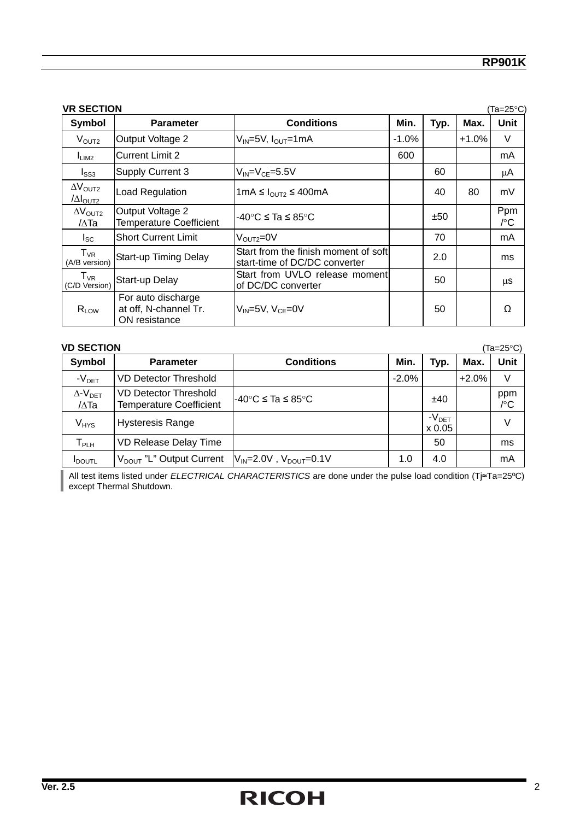|                                                      | <b>VR SECTION</b><br>(Ta=25°C                                |                                                                        |          |      |         |            |  |
|------------------------------------------------------|--------------------------------------------------------------|------------------------------------------------------------------------|----------|------|---------|------------|--|
| Symbol                                               | <b>Parameter</b>                                             | <b>Conditions</b>                                                      | Min.     | Typ. | Max.    | Unit       |  |
| V <sub>OUT2</sub>                                    | Output Voltage 2                                             | $V_{IN}$ =5V, $I_{OUT}$ =1mA                                           | $-1.0\%$ |      | $+1.0%$ | V          |  |
| I <sub>LIM2</sub>                                    | <b>Current Limit 2</b>                                       |                                                                        | 600      |      |         | mA         |  |
| $I_{SS3}$                                            | <b>Supply Current 3</b>                                      | $V_{IN} = V_{CF} = 5.5V$                                               |          | 60   |         | μA         |  |
| $\Delta V_{\text{OUT2}}$<br>$\Delta I_{\text{OUT2}}$ | Load Regulation                                              | 1mA ≤ $I_{\text{OUT2}}$ ≤ 400mA                                        |          | 40   | 80      | mV         |  |
| $\Delta V_{\text{OUT2}}$<br>/∆Та                     | Output Voltage 2<br><b>Temperature Coefficient</b>           | -40°C ≤ Ta ≤ 85°C                                                      |          | ±50  |         | Ppm<br>/°C |  |
| $I_{SC}$                                             | <b>Short Current Limit</b>                                   | $V_{\text{OUT2}} = 0V$                                                 |          | 70   |         | mA         |  |
| $T_{VR}$<br>(A/B version)                            | Start-up Timing Delay                                        | Start from the finish moment of softl<br>start-time of DC/DC converter |          | 2.0  |         | ms         |  |
| $T_{VR}$<br>(C/D Version)                            | Start-up Delay                                               | Start from UVLO release moment<br>of DC/DC converter                   |          | 50   |         | μS         |  |
| $R_{LOW}$                                            | For auto discharge<br>at off, N-channel Tr.<br>ON resistance | $V_{IN}$ =5V, $V_{CE}$ =0V                                             |          | 50   |         | Ω          |  |

| <b>VD SECTION</b>                    |                                                                |                                                  |         |                   |         | (Ta=25°C)  |
|--------------------------------------|----------------------------------------------------------------|--------------------------------------------------|---------|-------------------|---------|------------|
| Symbol                               | <b>Parameter</b>                                               | <b>Conditions</b>                                | Min.    | Typ.              | Max.    | Unit       |
| $-VDET$                              | <b>VD Detector Threshold</b>                                   |                                                  | $-2.0%$ |                   | $+2.0%$ | V          |
| $\Delta$ - $V_{DET}$<br>$/\Delta$ Ta | <b>VD Detector Threshold</b><br><b>Temperature Coefficient</b> | $-40^{\circ}$ C $\leq$ Ta $\leq$ 85 $^{\circ}$ C |         | ±40               |         | ppm<br>/°C |
| $V_{HYS}$                            | <b>Hysteresis Range</b>                                        |                                                  |         | $-VDET$<br>x 0.05 |         | V          |
| Т <sub>РLН</sub>                     | VD Release Delay Time                                          |                                                  |         | 50                |         | ms         |
| <b>I</b> DOUTL                       | V <sub>DOUT</sub> "L" Output Current                           | $V_{IN} = 2.0V$ , $V_{DOUT} = 0.1V$              | 1.0     | 4.0               |         | mA         |

All test items listed under *ELECTRICAL CHARACTERISTICS* are done under the pulse load condition (Tj≈Ta=25ºC) except Thermal Shutdown.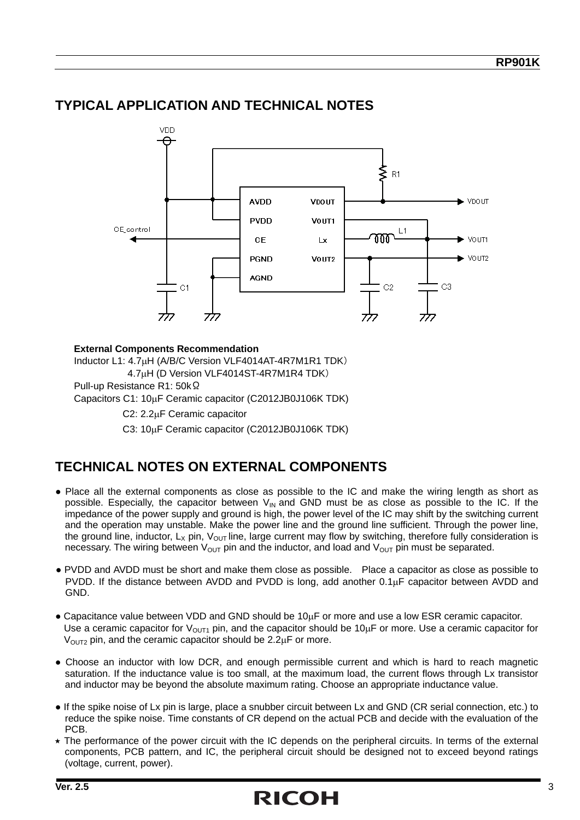#### **TYPICAL APPLICATION AND TECHNICAL NOTES**



#### **External Components Recommendation**

Inductor L1: 4.7μH (A/B/C Version VLF4014AT-4R7M1R1 TDK) 4.7μH (D Version VLF4014ST-4R7M1R4 TDK) Pull-up Resistance R1: 50kΩ

Capacitors C1: 10μF Ceramic capacitor (C2012JB0J106K TDK)

C2: 2.2μF Ceramic capacitor

C3: 10μF Ceramic capacitor (C2012JB0J106K TDK)

#### **TECHNICAL NOTES ON EXTERNAL COMPONENTS**

- Place all the external components as close as possible to the IC and make the wiring length as short as possible. Especially, the capacitor between  $V_{\text{IN}}$  and GND must be as close as possible to the IC. If the impedance of the power supply and ground is high, the power level of the IC may shift by the switching current and the operation may unstable. Make the power line and the ground line sufficient. Through the power line, the ground line, inductor,  $L_x$  pin,  $V_{OUT}$  line, large current may flow by switching, therefore fully consideration is necessary. The wiring between  $V_{\text{OUT}}$  pin and the inductor, and load and  $V_{\text{OUT}}$  pin must be separated.
- PVDD and AVDD must be short and make them close as possible. Place a capacitor as close as possible to PVDD. If the distance between AVDD and PVDD is long, add another 0.1μF capacitor between AVDD and GND.
- Capacitance value between VDD and GND should be 10μF or more and use a low ESR ceramic capacitor. Use a ceramic capacitor for  $V_{\text{OUT1}}$  pin, and the capacitor should be 10 $\mu$ F or more. Use a ceramic capacitor for  $V<sub>OUT2</sub>$  pin, and the ceramic capacitor should be 2.2 $\mu$ F or more.
- Choose an inductor with low DCR, and enough permissible current and which is hard to reach magnetic saturation. If the inductance value is too small, at the maximum load, the current flows through Lx transistor and inductor may be beyond the absolute maximum rating. Choose an appropriate inductance value.
- If the spike noise of Lx pin is large, place a snubber circuit between Lx and GND (CR serial connection, etc.) to reduce the spike noise. Time constants of CR depend on the actual PCB and decide with the evaluation of the PCB.
- $\star$  The performance of the power circuit with the IC depends on the peripheral circuits. In terms of the external components, PCB pattern, and IC, the peripheral circuit should be designed not to exceed beyond ratings (voltage, current, power).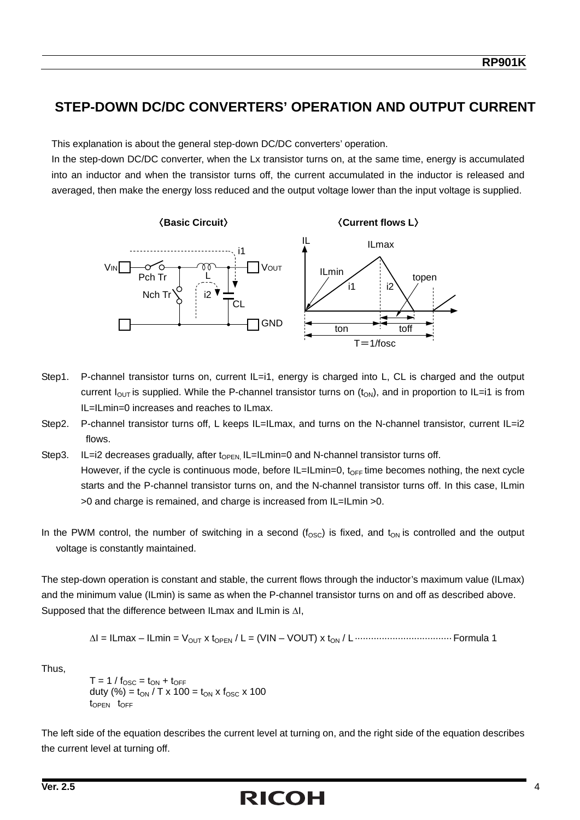#### **STEP-DOWN DC/DC CONVERTERS' OPERATION AND OUTPUT CURRENT**

This explanation is about the general step-down DC/DC converters' operation.

In the step-down DC/DC converter, when the Lx transistor turns on, at the same time, energy is accumulated into an inductor and when the transistor turns off, the current accumulated in the inductor is released and averaged, then make the energy loss reduced and the output voltage lower than the input voltage is supplied.



- Step1. P-channel transistor turns on, current IL=i1, energy is charged into L, CL is charged and the output current  $I_{\text{OUT}}$  is supplied. While the P-channel transistor turns on  $(t_{\text{ON}})$ , and in proportion to IL=i1 is from IL=ILmin=0 increases and reaches to ILmax.
- Step2. P-channel transistor turns off, L keeps IL=ILmax, and turns on the N-channel transistor, current IL=i2 flows.
- Step3. IL=i2 decreases gradually, after  $t_{\text{OPEN}}$  IL=ILmin=0 and N-channel transistor turns off. However, if the cycle is continuous mode, before IL=ILmin=0, t<sub>OFF</sub> time becomes nothing, the next cycle starts and the P-channel transistor turns on, and the N-channel transistor turns off. In this case, ILmin >0 and charge is remained, and charge is increased from IL=ILmin >0.
- In the PWM control, the number of switching in a second  $(f_{\rm osc})$  is fixed, and  $t_{\rm ON}$  is controlled and the output voltage is constantly maintained.

The step-down operation is constant and stable, the current flows through the inductor's maximum value (ILmax) and the minimum value (ILmin) is same as when the P-channel transistor turns on and off as described above. Supposed that the difference between ILmax and ILmin is ΔI,

$$
\Delta I = ILmax - ILmin = V_{OUT} \times t_{OPEN} / L = (VIN - VOUT) \times t_{ON} / L
$$

Thus,

 $T = 1 / f_{\text{OSC}} = t_{\text{ON}} + t_{\text{OFF}}$ duty (%) =  $t_{ON}$  / T x 100 =  $t_{ON}$  x  $f_{OSC}$  x 100  $t_{\text{OPFN}}$   $t_{\text{OFF}}$ 

The left side of the equation describes the current level at turning on, and the right side of the equation describes the current level at turning off.

## **Ver. 2.5** 4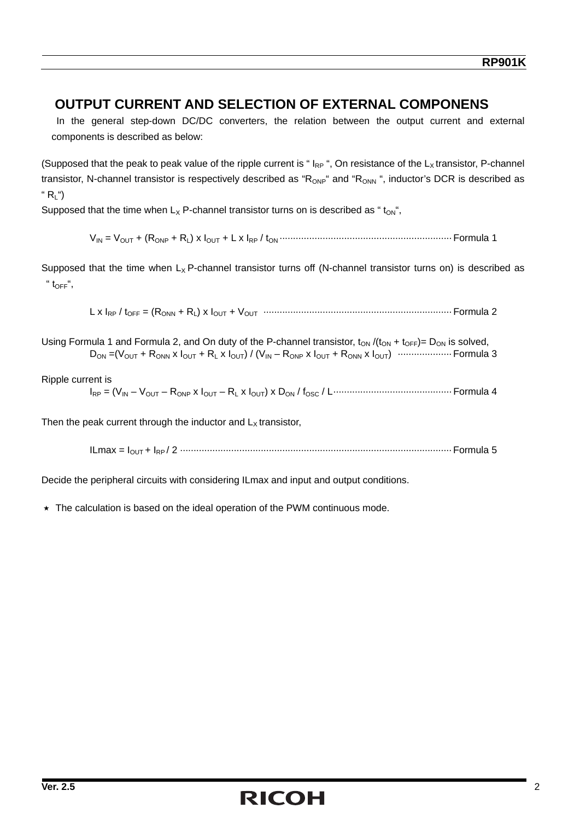#### **OUTPUT CURRENT AND SELECTION OF EXTERNAL COMPONENS**

In the general step-down DC/DC converters, the relation between the output current and external components is described as below:

(Supposed that the peak to peak value of the ripple current is " $I_{RP}$ ", On resistance of the  $L_x$  transistor, P-channel transistor, N-channel transistor is respectively described as " $R_{ONP}$ " and " $R_{ONN}$ ", inductor's DCR is described as "  $R_1$ ")

Supposed that the time when  $L_x$  P-channel transistor turns on is described as " $t_{\text{OM}}$ ",

VIN = VOUT + (RONP + RL) x IOUT + L x IRP / tON ································································ Formula 1

Supposed that the time when  $L_X$  P-channel transistor turns off (N-channel transistor turns on) is described as  $"$  t<sub>OFF</sub>",

L x IRP / tOFF = (RONN + RL) x IOUT + VOUT ······································································ Formula 2

Using Formula 1 and Formula 2, and On duty of the P-channel transistor,  $t_{ON} / (t_{ON} + t_{OFF}) = D_{ON}$  is solved, DON =(VOUT + RONN x IOUT + RL x IOUT) / (VIN – RONP x IOUT + RONN x IOUT) ···················· Formula 3

#### Ripple current is

IRP = (VIN – VOUT – RONP x IOUT – RL x IOUT) x DON / fOSC / L············································ Formula 4

Then the peak current through the inductor and  $L<sub>x</sub>$  transistor,

ILmax = IOUT + IRP / 2 ····································································································· Formula 5

Decide the peripheral circuits with considering ILmax and input and output conditions.

 $\star$  The calculation is based on the ideal operation of the PWM continuous mode.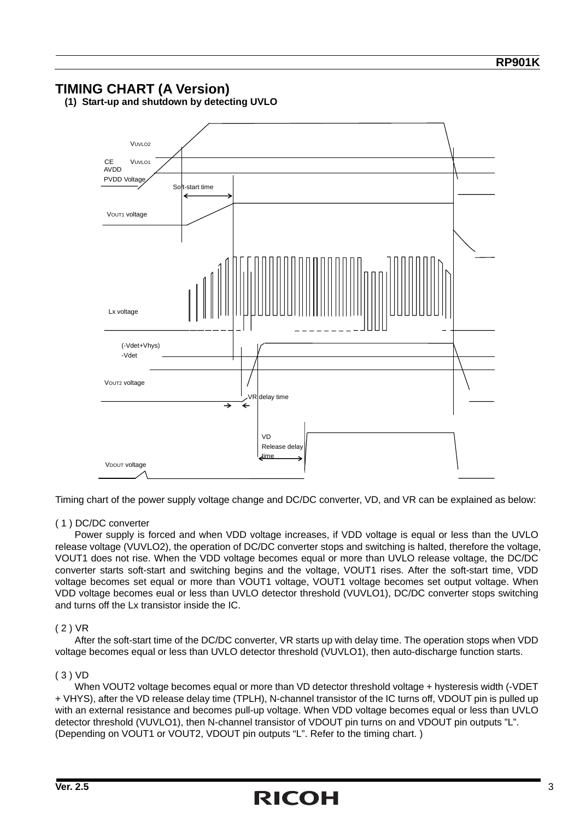#### **TIMING CHART (A Version)**



**(1) Start-up and shutdown by detecting UVLO** 

Timing chart of the power supply voltage change and DC/DC converter, VD, and VR can be explained as below:

#### ( 1 ) DC/DC converter

Power supply is forced and when VDD voltage increases, if VDD voltage is equal or less than the UVLO release voltage (VUVLO2), the operation of DC/DC converter stops and switching is halted, therefore the voltage, VOUT1 does not rise. When the VDD voltage becomes equal or more than UVLO release voltage, the DC/DC converter starts soft-start and switching begins and the voltage, VOUT1 rises. After the soft-start time, VDD voltage becomes set equal or more than VOUT1 voltage, VOUT1 voltage becomes set output voltage. When VDD voltage becomes eual or less than UVLO detector threshold (VUVLO1), DC/DC converter stops switching and turns off the Lx transistor inside the IC.

#### ( 2 ) VR

After the soft-start time of the DC/DC converter, VR starts up with delay time. The operation stops when VDD voltage becomes equal or less than UVLO detector threshold (VUVLO1), then auto-discharge function starts.

#### ( 3 ) VD

When VOUT2 voltage becomes equal or more than VD detector threshold voltage + hysteresis width (-VDET + VHYS), after the VD release delay time (TPLH), N-channel transistor of the IC turns off, VDOUT pin is pulled up with an external resistance and becomes pull-up voltage. When VDD voltage becomes equal or less than UVLO detector threshold (VUVLO1), then N-channel transistor of VDOUT pin turns on and VDOUT pin outputs "L". (Depending on VOUT1 or VOUT2, VDOUT pin outputs "L". Refer to the timing chart. )

## **Ver. 2.5** 3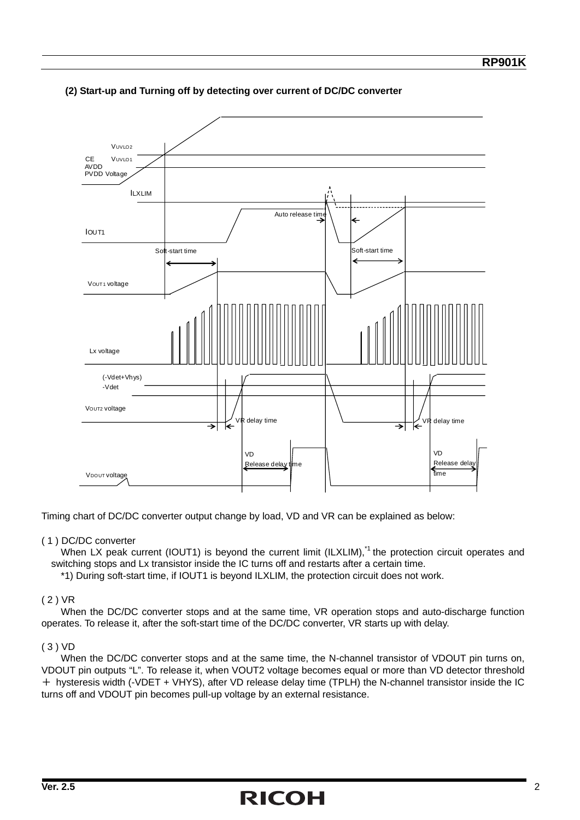

#### **(2) Start-up and Turning off by detecting over current of DC/DC converter**

Timing chart of DC/DC converter output change by load, VD and VR can be explained as below:

#### ( 1 ) DC/DC converter

When LX peak current (IOUT1) is beyond the current limit (ILXLIM),<sup>\*1</sup> the protection circuit operates and switching stops and Lx transistor inside the IC turns off and restarts after a certain time.

\*1) During soft-start time, if IOUT1 is beyond ILXLIM, the protection circuit does not work.

#### ( 2 ) VR

 When the DC/DC converter stops and at the same time, VR operation stops and auto-discharge function operates. To release it, after the soft-start time of the DC/DC converter, VR starts up with delay.

#### ( 3 ) VD

When the DC/DC converter stops and at the same time, the N-channel transistor of VDOUT pin turns on, VDOUT pin outputs "L". To release it, when VOUT2 voltage becomes equal or more than VD detector threshold + hysteresis width (-VDET + VHYS), after VD release delay time (TPLH) the N-channel transistor inside the IC turns off and VDOUT pin becomes pull-up voltage by an external resistance.

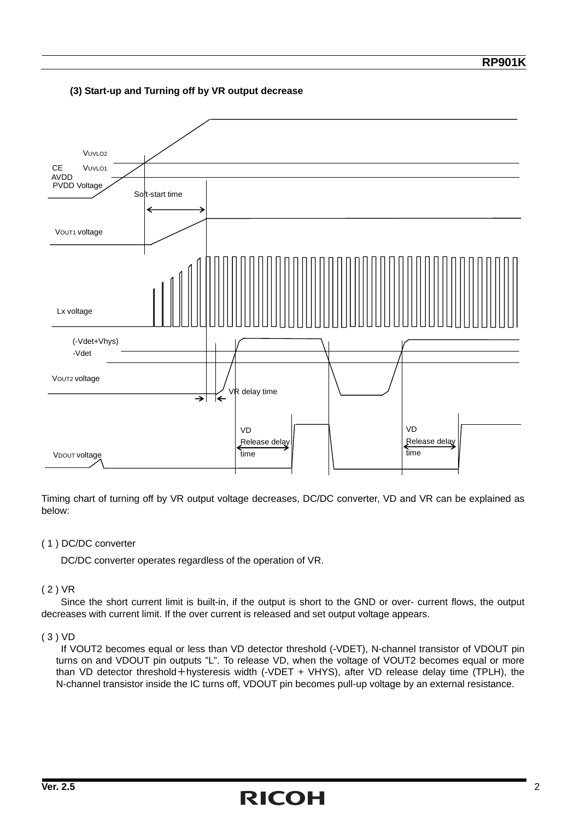#### **(3) Start-up and Turning off by VR output decrease**



Timing chart of turning off by VR output voltage decreases, DC/DC converter, VD and VR can be explained as below:

#### ( 1 ) DC/DC converter

DC/DC converter operates regardless of the operation of VR.

#### ( 2 ) VR

 Since the short current limit is built-in, if the output is short to the GND or over- current flows, the output decreases with current limit. If the over current is released and set output voltage appears.

#### ( 3 ) VD

 If VOUT2 becomes equal or less than VD detector threshold (-VDET), N-channel transistor of VDOUT pin turns on and VDOUT pin outputs "L". To release VD, when the voltage of VOUT2 becomes equal or more than VD detector threshold+hysteresis width (-VDET + VHYS), after VD release delay time (TPLH), the N-channel transistor inside the IC turns off, VDOUT pin becomes pull-up voltage by an external resistance.

## **Ver. 2.5** 2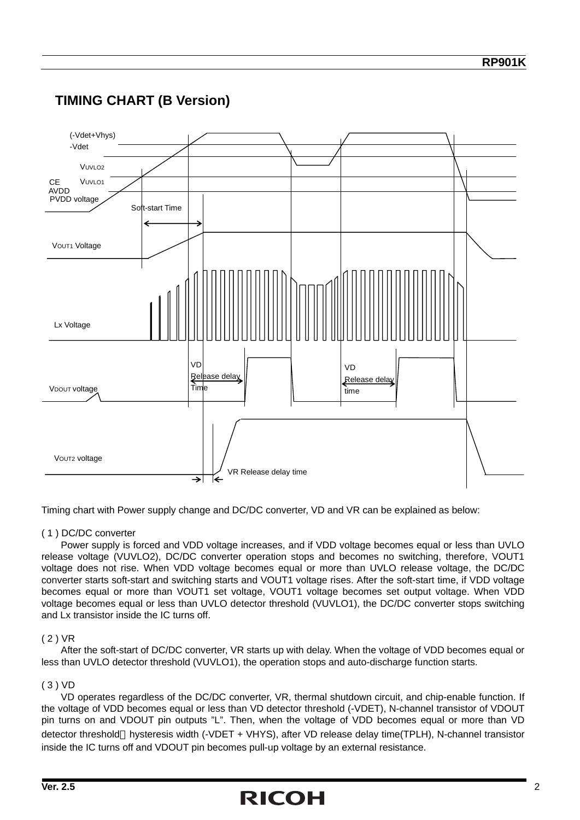### PVDD voltage VUVLO2 VOUT1 Voltage Soft-start Time V<sub>DOUT</sub> voltage V<sub>UVLO1</sub> -Vdet (-Vdet+Vhys) Lx Voltage VOUT2 voltage AVDD CE VR Release delay time VD Release delay Time VD Release delay time

#### **TIMING CHART (B Version)**

Timing chart with Power supply change and DC/DC converter, VD and VR can be explained as below:

#### ( 1 ) DC/DC converter

Power supply is forced and VDD voltage increases, and if VDD voltage becomes equal or less than UVLO release voltage (VUVLO2), DC/DC converter operation stops and becomes no switching, therefore, VOUT1 voltage does not rise. When VDD voltage becomes equal or more than UVLO release voltage, the DC/DC converter starts soft-start and switching starts and VOUT1 voltage rises. After the soft-start time, if VDD voltage becomes equal or more than VOUT1 set voltage, VOUT1 voltage becomes set output voltage. When VDD voltage becomes equal or less than UVLO detector threshold (VUVLO1), the DC/DC converter stops switching and Lx transistor inside the IC turns off.

#### ( 2 ) VR

After the soft-start of DC/DC converter, VR starts up with delay. When the voltage of VDD becomes equal or less than UVLO detector threshold (VUVLO1), the operation stops and auto-discharge function starts.

#### ( 3 ) VD

VD operates regardless of the DC/DC converter, VR, thermal shutdown circuit, and chip-enable function. If the voltage of VDD becomes equal or less than VD detector threshold (-VDET), N-channel transistor of VDOUT pin turns on and VDOUT pin outputs "L". Then, when the voltage of VDD becomes equal or more than VD detector threshold hysteresis width (-VDET + VHYS), after VD release delay time(TPLH), N-channel transistor inside the IC turns off and VDOUT pin becomes pull-up voltage by an external resistance.

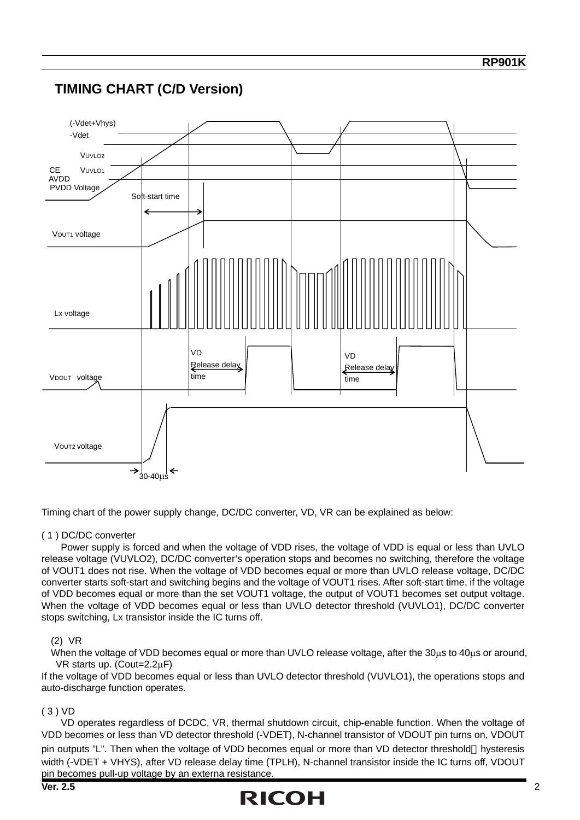

Timing chart of the power supply change, DC/DC converter, VD, VR can be explained as below:

#### ( 1 ) DC/DC converter

Power supply is forced and when the voltage of VDD rises, the voltage of VDD is equal or less than UVLO release voltage (VUVLO2), DC/DC converter's operation stops and becomes no switching, therefore the voltage of VOUT1 does not rise. When the voltage of VDD becomes equal or more than UVLO release voltage, DC/DC converter starts soft-start and switching begins and the voltage of VOUT1 rises. After soft-start time, if the voltage of VDD becomes equal or more than the set VOUT1 voltage, the output of VOUT1 becomes set output voltage. When the voltage of VDD becomes equal or less than UVLO detector threshold (VUVLO1), DC/DC converter stops switching, Lx transistor inside the IC turns off.

#### (2) VR

When the voltage of VDD becomes equal or more than UVLO release voltage, after the 30μs to 40μs or around, VR starts up. (Cout=2.2μF)

If the voltage of VDD becomes equal or less than UVLO detector threshold (VUVLO1), the operations stops and auto-discharge function operates.

#### ( 3 ) VD

VD operates regardless of DCDC, VR, thermal shutdown circuit, chip-enable function. When the voltage of VDD becomes or less than VD detector threshold (-VDET), N-channel transistor of VDOUT pin turns on, VDOUT pin outputs "L". Then when the voltage of VDD becomes equal or more than VD detector threshold hysteresis width (-VDET + VHYS), after VD release delay time (TPLH), N-channel transistor inside the IC turns off, VDOUT pin becomes pull-up voltage by an externa resistance.

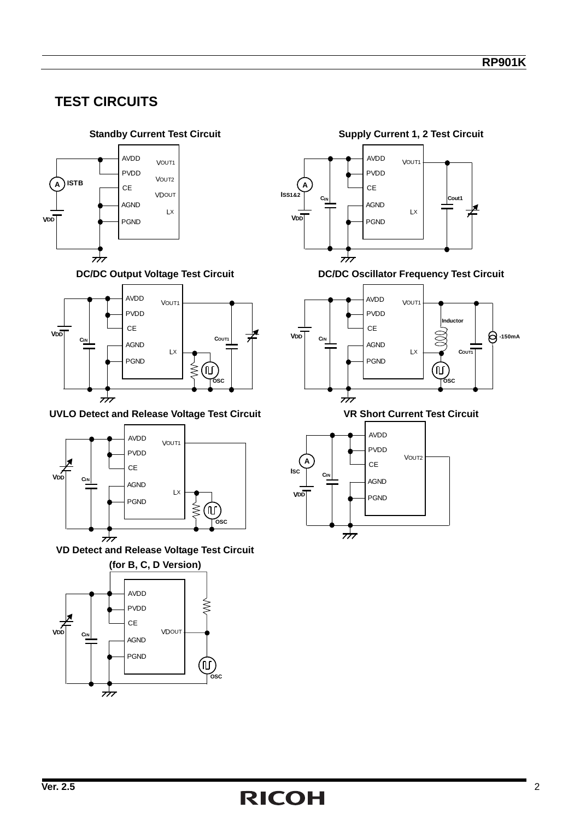### **TEST CIRCUITS**





**UVLO Detect and Release Voltage Test Circuit VR Short Current Test Circuit** 



**VD Detect and Release Voltage Test Circuit** 





**DC/DC Output Voltage Test Circuit DC/DC Oscillator Frequency Test Circuit** 



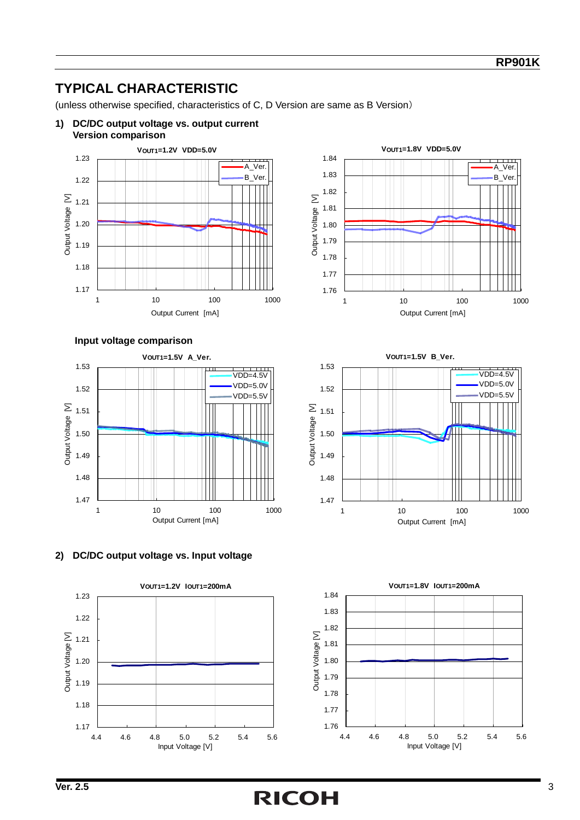### **TYPICAL CHARACTERISTIC**

(unless otherwise specified, characteristics of C, D Version are same as B Version)

**1) DC/DC output voltage vs. output current** 



**Input voltage comparison** 









**VOUT1=1.5V B\_Ver.**



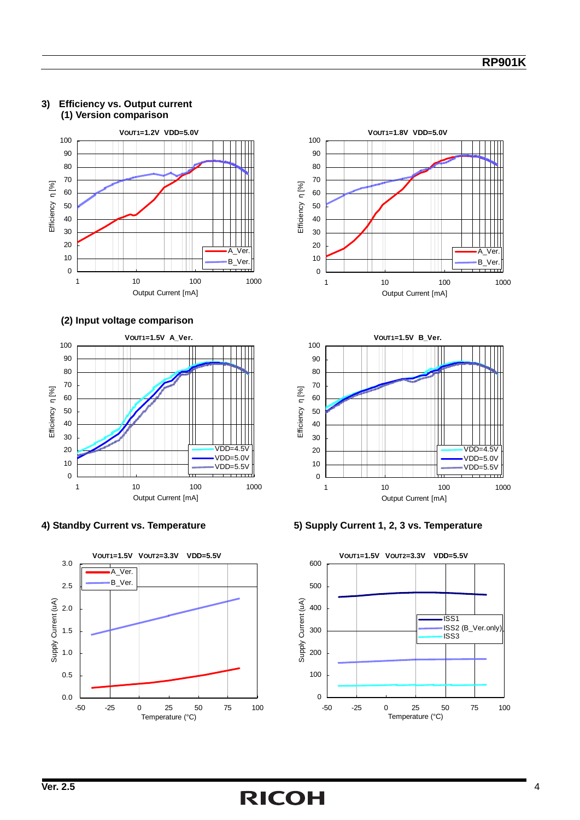

#### **3) Efficiency vs. Output current (1) Version comparison**















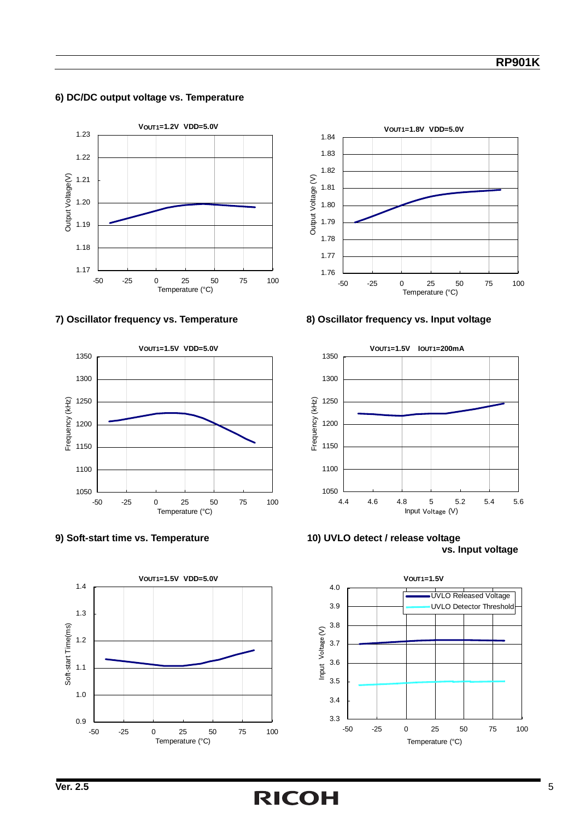#### **6) DC/DC output voltage vs. Temperature**









#### **7) Oscillator frequency vs. Temperature 8) Oscillator frequency vs. Input voltage**



**9) Soft-start time vs. Temperature 10) UVLO detect / release voltage vs. Input voltage** 

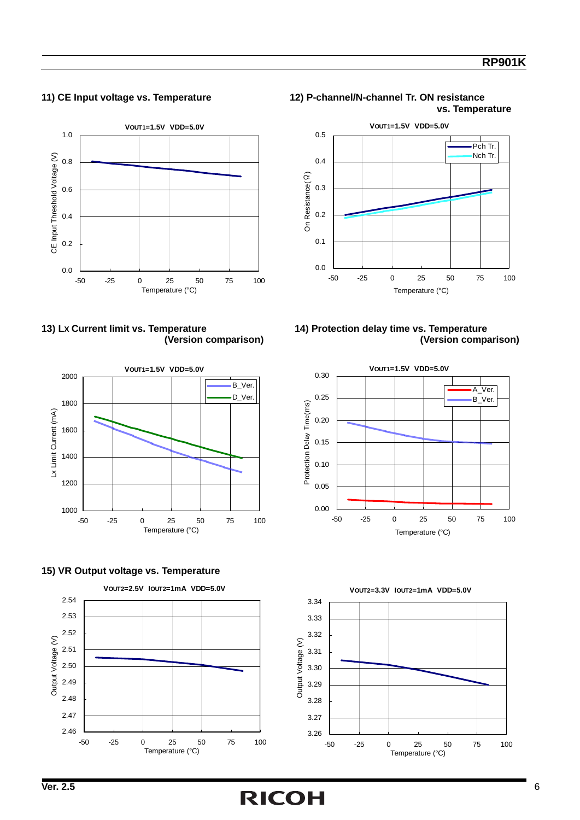#### **RP901K**



















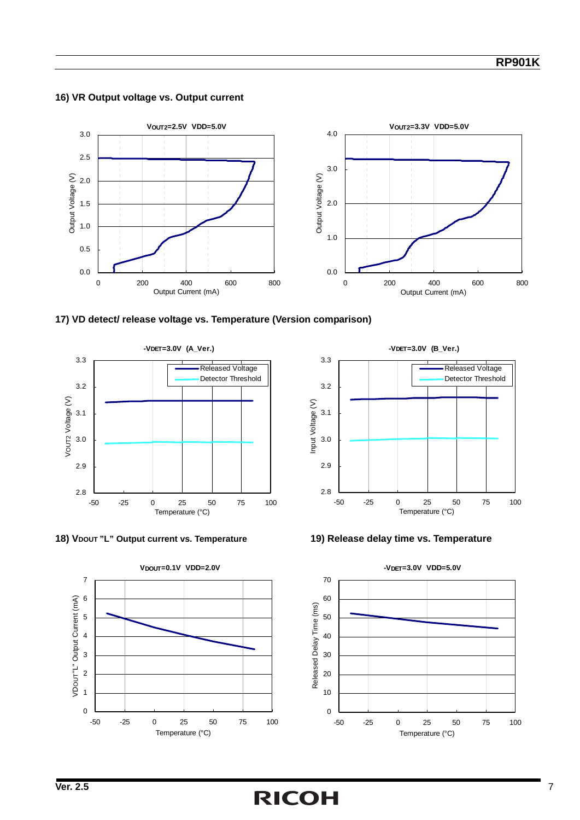#### **16) VR Output voltage vs. Output current**











**-VDET=3.0V (B\_Ver.)**



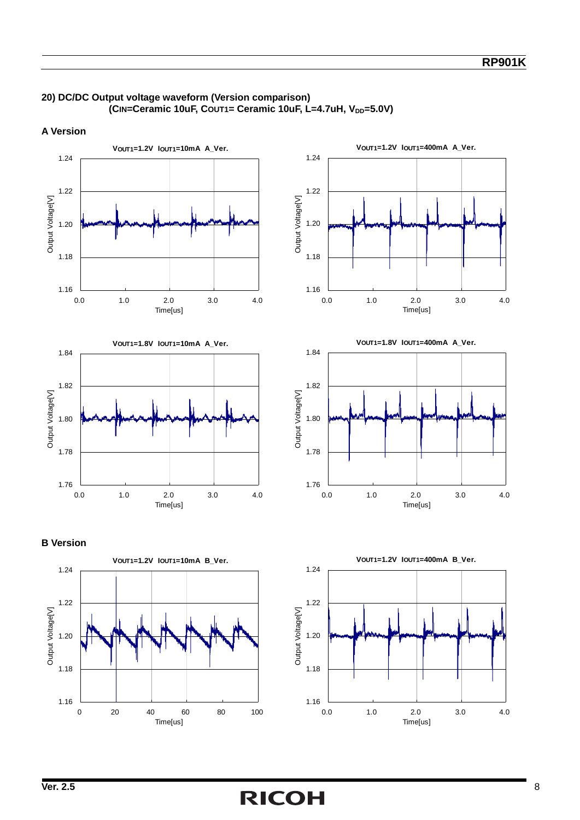

#### **20) DC/DC Output voltage waveform (Version comparison) (CIN=Ceramic 10uF, COUT1= Ceramic 10uF, L=4.7uH, V<sub>DD</sub>=5.0V)**

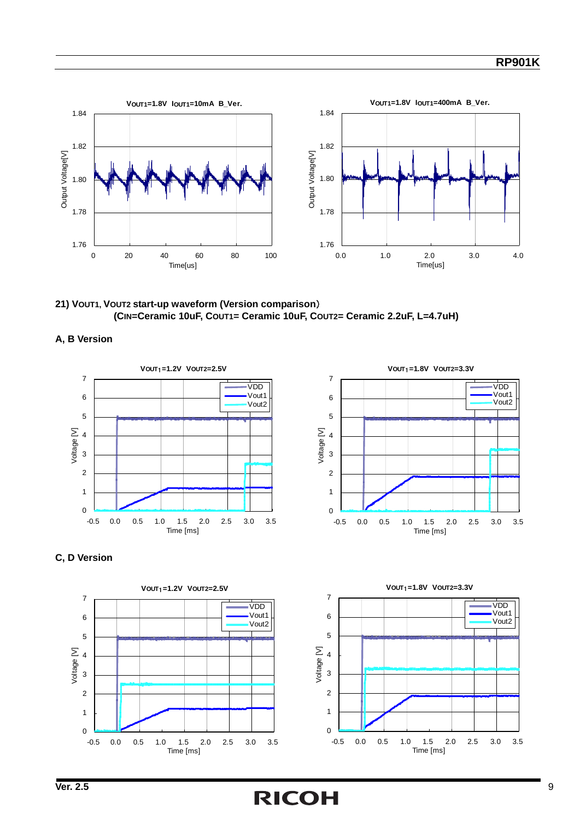

**21) VOUT1, VOUT2 start-up waveform (Version comparison**) **(CIN=Ceramic 10uF, COUT1= Ceramic 10uF, COUT2= Ceramic 2.2uF, L=4.7uH)**







#### **C, D Version**



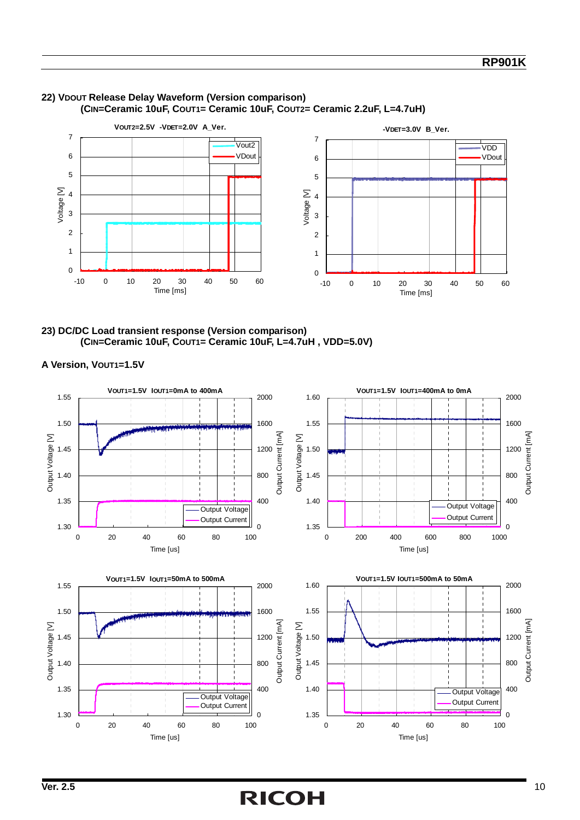

#### **22) VDOUT Release Delay Waveform (Version comparison) (CIN=Ceramic 10uF, COUT1= Ceramic 10uF, COUT2= Ceramic 2.2uF, L=4.7uH)**

**23) DC/DC Load transient response (Version comparison) (CIN=Ceramic 10uF, COUT1= Ceramic 10uF, L=4.7uH , VDD=5.0V)** 

**A Version, VOUT1=1.5V**

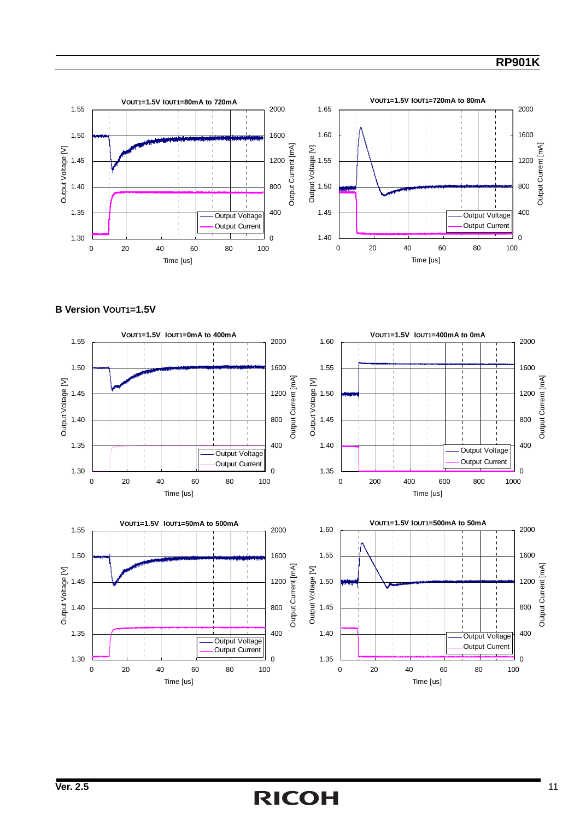#### **RP901K**



#### **B Version VOUT1=1.5V**



## **Ver. 2.5** 11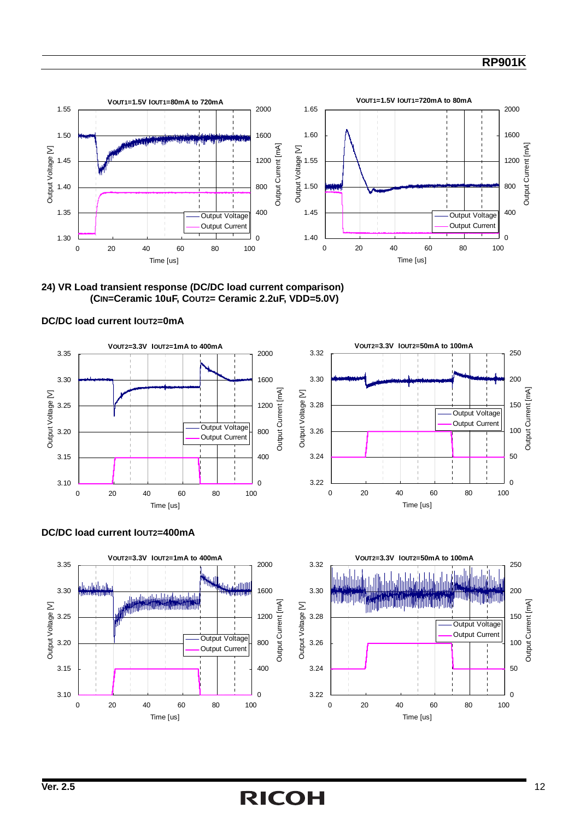#### **RP901K**



**24) VR Load transient response (DC/DC load current comparison) (CIN=Ceramic 10uF, COUT2= Ceramic 2.2uF, VDD=5.0V)** 









#### **DC/DC load current IOUT2=400mA**

## **Ver. 2.5** 12

0

50

100

Output Current [mA]

Output Current [mA]

150

200

250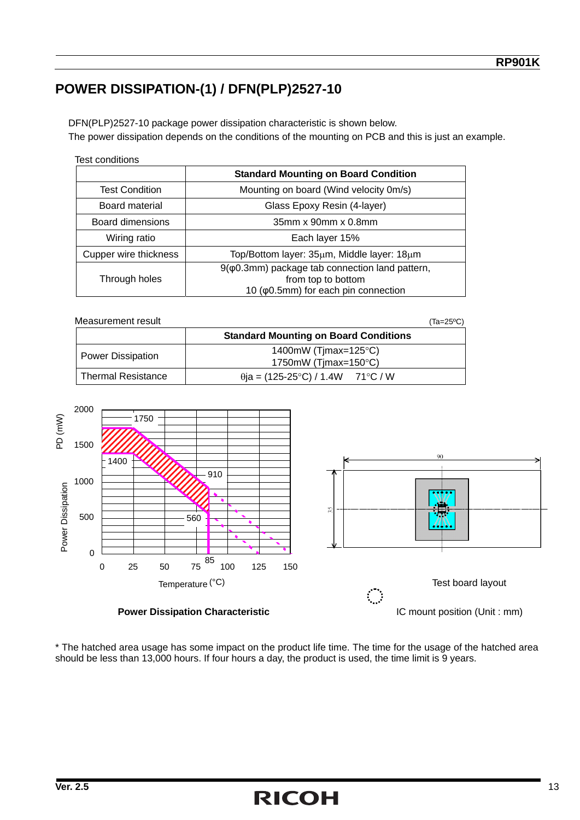### **POWER DISSIPATION-(1) / DFN(PLP)2527-10**

DFN(PLP)2527-10 package power dissipation characteristic is shown below. The power dissipation depends on the conditions of the mounting on PCB and this is just an example.

| Test conditions |  |  |
|-----------------|--|--|
|-----------------|--|--|

|                         | <b>Standard Mounting on Board Condition</b>                                                                   |
|-------------------------|---------------------------------------------------------------------------------------------------------------|
| <b>Test Condition</b>   | Mounting on board (Wind velocity 0m/s)                                                                        |
| Board material          | Glass Epoxy Resin (4-layer)                                                                                   |
| <b>Board dimensions</b> | 35mm x 90mm x 0.8mm                                                                                           |
| Wiring ratio            | Each layer 15%                                                                                                |
| Cupper wire thickness   | Top/Bottom layer: 35µm, Middle layer: 18µm                                                                    |
| Through holes           | $9(φ0.3mm)$ package tab connection land pattern,<br>from top to bottom<br>10 (φ0.5mm) for each pin connection |

| Measurement result        |                                                                      | $(Ta=25°C)$ |
|---------------------------|----------------------------------------------------------------------|-------------|
|                           | <b>Standard Mounting on Board Conditions</b>                         |             |
| <b>Power Dissipation</b>  | 1400mW (Timax=125 $\textdegree$ C)<br>1750mW (Timax=150 $\degree$ C) |             |
| <b>Thermal Resistance</b> | $\theta$ ia = (125-25°C) / 1.4W 71°C / W                             |             |



\* The hatched area usage has some impact on the product life time. The time for the usage of the hatched area should be less than 13,000 hours. If four hours a day, the product is used, the time limit is 9 years.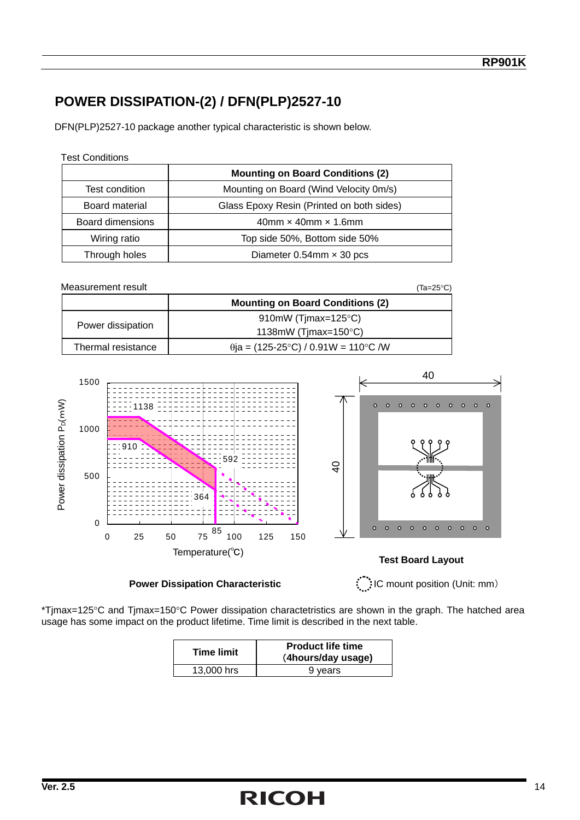### **POWER DISSIPATION-(2) / DFN(PLP)2527-10**

DFN(PLP)2527-10 package another typical characteristic is shown below.

| <b>Test Conditions</b>  |                                           |  |
|-------------------------|-------------------------------------------|--|
|                         | <b>Mounting on Board Conditions (2)</b>   |  |
| Test condition          | Mounting on Board (Wind Velocity 0m/s)    |  |
| Board material          | Glass Epoxy Resin (Printed on both sides) |  |
| <b>Board dimensions</b> | $40$ mm $\times$ 40mm $\times$ 1.6mm      |  |
| Wiring ratio            | Top side 50%, Bottom side 50%             |  |
| Through holes           | Diameter $0.54$ mm $\times$ 30 pcs        |  |

| Measurement result |                                             | (Ta=25°C) |
|--------------------|---------------------------------------------|-----------|
|                    | <b>Mounting on Board Conditions (2)</b>     |           |
| Power dissipation  | 910mW (Timax=125 $\textdegree$ C)           |           |
|                    | 1138mW (Timax=150 $\degree$ C)              |           |
| Thermal resistance | $\theta$ ja = (125-25°C) / 0.91W = 110°C /W |           |





\*Tjmax=125°C and Tjmax=150°C Power dissipation charactetristics are shown in the graph. The hatched area usage has some impact on the product lifetime. Time limit is described in the next table.

| <b>Time limit</b> | <b>Product life time</b><br>(4hours/day usage) |
|-------------------|------------------------------------------------|
| 13,000 hrs        | 9 years                                        |

## **Ver. 2.5** 14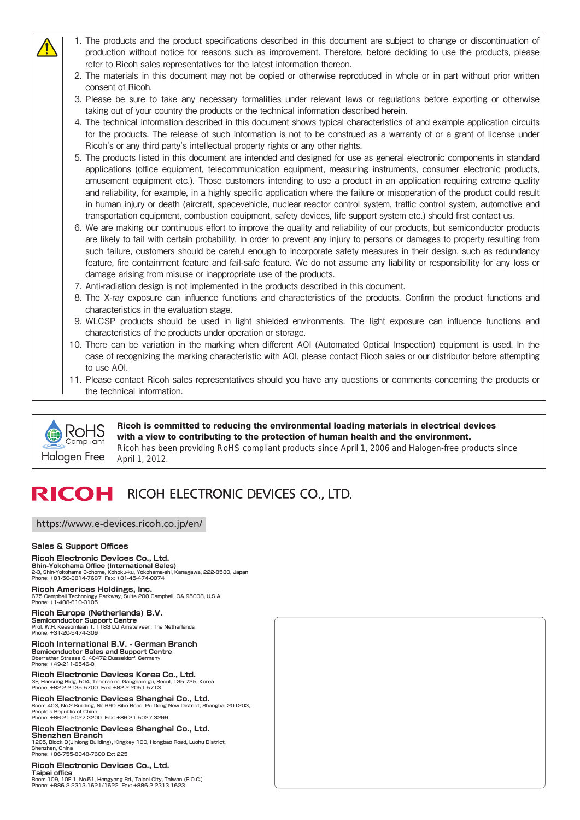- 1. The products and the product specifications described in this document are subject to change or discontinuation of production without notice for reasons such as improvement. Therefore, before deciding to use the products, please refer to Ricoh sales representatives for the latest information thereon.
- 2. The materials in this document may not be copied or otherwise reproduced in whole or in part without prior written consent of Ricoh.
- 3. Please be sure to take any necessary formalities under relevant laws or regulations before exporting or otherwise taking out of your country the products or the technical information described herein.
- 4. The technical information described in this document shows typical characteristics of and example application circuits for the products. The release of such information is not to be construed as a warranty of or a grant of license under Ricoh's or any third party's intellectual property rights or any other rights.
- 5. The products listed in this document are intended and designed for use as general electronic components in standard applications (office equipment, telecommunication equipment, measuring instruments, consumer electronic products, amusement equipment etc.). Those customers intending to use a product in an application requiring extreme quality and reliability, for example, in a highly specific application where the failure or misoperation of the product could result in human injury or death (aircraft, spacevehicle, nuclear reactor control system, traffic control system, automotive and transportation equipment, combustion equipment, safety devices, life support system etc.) should first contact us.
- 6. We are making our continuous effort to improve the quality and reliability of our products, but semiconductor products are likely to fail with certain probability. In order to prevent any injury to persons or damages to property resulting from such failure, customers should be careful enough to incorporate safety measures in their design, such as redundancy feature, fire containment feature and fail-safe feature. We do not assume any liability or responsibility for any loss or damage arising from misuse or inappropriate use of the products.
- 7. Anti-radiation design is not implemented in the products described in this document.
- 8. The X-ray exposure can influence functions and characteristics of the products. Confirm the product functions and characteristics in the evaluation stage.
- 9. WLCSP products should be used in light shielded environments. The light exposure can influence functions and characteristics of the products under operation or storage.
- 10. There can be variation in the marking when different AOI (Automated Optical Inspection) equipment is used. In the case of recognizing the marking characteristic with AOI, please contact Ricoh sales or our distributor before attempting to use AOI.
- 11. Please contact Ricoh sales representatives should you have any questions or comments concerning the products or the technical information.



Ricoh is committed to reducing the environmental loading materials in electrical devices with a view to contributing to the protection of human health and the environment. Ricoh has been providing RoHS compliant products since April 1, 2006 and Halogen-free products since

#### RICOH RICOH ELECTRONIC DEVICES CO., LTD.

#### <https://www.e-devices.ricoh.co.jp/en/>

#### **Sales & Support Offices**

**Ricoh Electronic Devices Co., Ltd.**<br>Shin-Yokohama Office (International Sales)<br>2-3, Shin-Yokohama 3-chome, Kohoku-ku, Yokohama-shi, Kanagawa, 222-8530, Japan Phone: +81-50-3814-7687 Fax: +81-45-474-0074

**Ricoh Americas Holdings, Inc.** 675 Campbell Technology Parkway, Suite 200 Campbell, CA 95008, U.S.A. Phone: +1-408-610-3105

#### **Ricoh Europe (Netherlands) B.V.**

**Semiconductor Support Centre** Prof. W.H. Keesomlaan 1, 1183 DJ Amstelveen, The Netherlands Phone: +31-20-5474-309

#### **Ricoh International B.V. - German Branch Semiconductor Sales and Support Centre** Oberrather Strasse 6, 40472 Düsseldorf, Germany Phone: +49-211-6546-0

**Ricoh Electronic Devices Korea Co., Ltd.** 3F, Haesung Bldg, 504, Teheran-ro, Gangnam-gu, Seoul, 135-725, Korea Phone: +82-2-2135-5700 Fax: +82-2-2051-5713

#### **Ricoh Electronic Devices Shanghai Co., Ltd.**<br>Room 403, No.2 Building, No.690 Bibo Road, Pu Dong New District, Shanghai 201203. Room 403, No.2 Building, No.690 Bibo Road, Pu Dong Ne People's Republic of China

Phone: +86-21-5027-3200 Fax: +86-21-5027-3299

#### **Ricoh Electronic Devices Shanghai Co., Ltd. Shenzhen Branch**

1205, Block D(Jinlong Building), Kingkey 100, Hongbao Road, Luohu District, Shenzhen, China Phone: +86-755-8348-7600 Ext 225

#### **Ricoh Electronic Devices Co., Ltd.**

**Taipei office**<br>Room 109, 10F-1, No.51, Hengyang Rd., Taipei City, Taiwan (R.O.C.)<br>Phone: +886-2-2313-1621/1622 Fax: +886-2-2313-1623